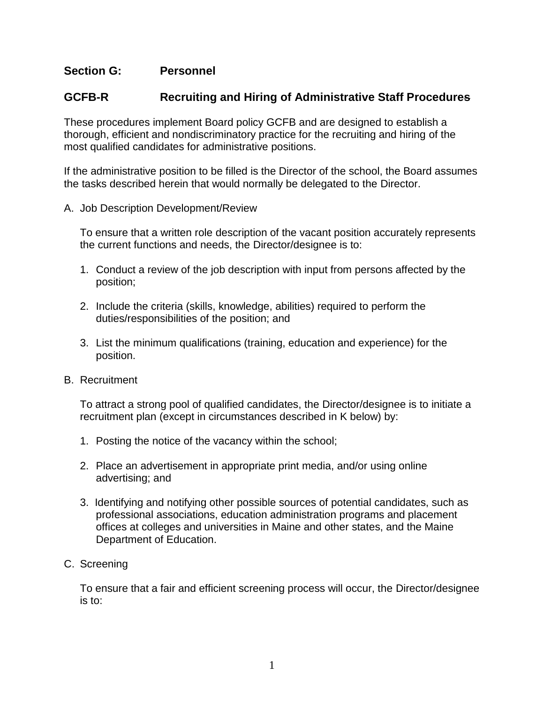## **Section G: Personnel**

## **GCFB-R Recruiting and Hiring of Administrative Staff Procedures**

These procedures implement Board policy GCFB and are designed to establish a thorough, efficient and nondiscriminatory practice for the recruiting and hiring of the most qualified candidates for administrative positions.

If the administrative position to be filled is the Director of the school, the Board assumes the tasks described herein that would normally be delegated to the Director.

A. Job Description Development/Review

To ensure that a written role description of the vacant position accurately represents the current functions and needs, the Director/designee is to:

- 1. Conduct a review of the job description with input from persons affected by the position;
- 2. Include the criteria (skills, knowledge, abilities) required to perform the duties/responsibilities of the position; and
- 3. List the minimum qualifications (training, education and experience) for the position.
- B. Recruitment

To attract a strong pool of qualified candidates, the Director/designee is to initiate a recruitment plan (except in circumstances described in K below) by:

- 1. Posting the notice of the vacancy within the school;
- 2. Place an advertisement in appropriate print media, and/or using online advertising; and
- 3. Identifying and notifying other possible sources of potential candidates, such as professional associations, education administration programs and placement offices at colleges and universities in Maine and other states, and the Maine Department of Education.
- C. Screening

To ensure that a fair and efficient screening process will occur, the Director/designee is to: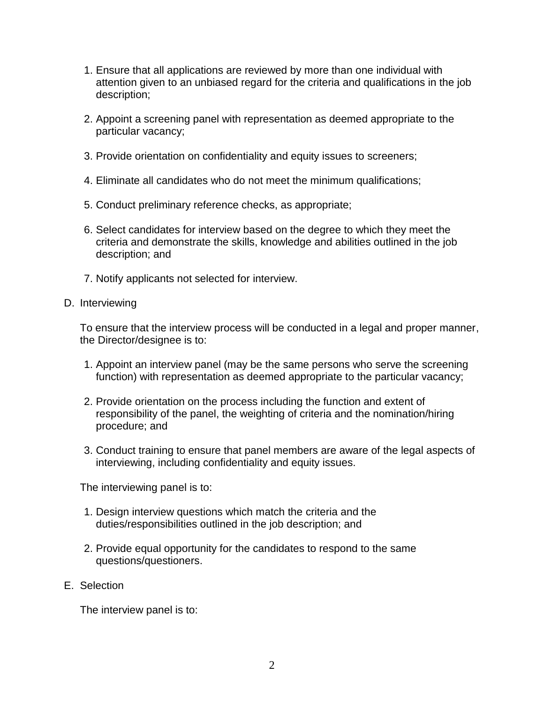- 1. Ensure that all applications are reviewed by more than one individual with attention given to an unbiased regard for the criteria and qualifications in the job description;
- 2. Appoint a screening panel with representation as deemed appropriate to the particular vacancy;
- 3. Provide orientation on confidentiality and equity issues to screeners;
- 4. Eliminate all candidates who do not meet the minimum qualifications;
- 5. Conduct preliminary reference checks, as appropriate;
- 6. Select candidates for interview based on the degree to which they meet the criteria and demonstrate the skills, knowledge and abilities outlined in the job description; and
- 7. Notify applicants not selected for interview.
- D. Interviewing

To ensure that the interview process will be conducted in a legal and proper manner, the Director/designee is to:

- 1. Appoint an interview panel (may be the same persons who serve the screening function) with representation as deemed appropriate to the particular vacancy;
- 2. Provide orientation on the process including the function and extent of responsibility of the panel, the weighting of criteria and the nomination/hiring procedure; and
- 3. Conduct training to ensure that panel members are aware of the legal aspects of interviewing, including confidentiality and equity issues.

The interviewing panel is to:

- 1. Design interview questions which match the criteria and the duties/responsibilities outlined in the job description; and
- 2. Provide equal opportunity for the candidates to respond to the same questions/questioners.
- E. Selection

The interview panel is to: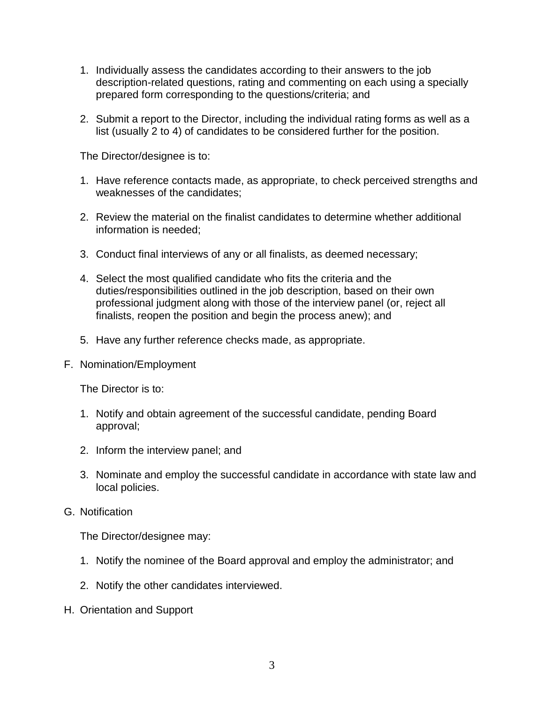- 1. Individually assess the candidates according to their answers to the job description-related questions, rating and commenting on each using a specially prepared form corresponding to the questions/criteria; and
- 2. Submit a report to the Director, including the individual rating forms as well as a list (usually 2 to 4) of candidates to be considered further for the position.

The Director/designee is to:

- 1. Have reference contacts made, as appropriate, to check perceived strengths and weaknesses of the candidates;
- 2. Review the material on the finalist candidates to determine whether additional information is needed;
- 3. Conduct final interviews of any or all finalists, as deemed necessary;
- 4. Select the most qualified candidate who fits the criteria and the duties/responsibilities outlined in the job description, based on their own professional judgment along with those of the interview panel (or, reject all finalists, reopen the position and begin the process anew); and
- 5. Have any further reference checks made, as appropriate.
- F. Nomination/Employment

The Director is to:

- 1. Notify and obtain agreement of the successful candidate, pending Board approval;
- 2. Inform the interview panel; and
- 3. Nominate and employ the successful candidate in accordance with state law and local policies.
- G. Notification

The Director/designee may:

- 1. Notify the nominee of the Board approval and employ the administrator; and
- 2. Notify the other candidates interviewed.
- H. Orientation and Support